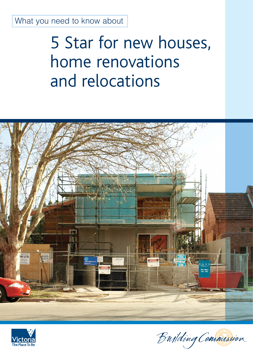What you need to know about

# 5 Star for new houses, home renovations and relocations





Bujlding Commission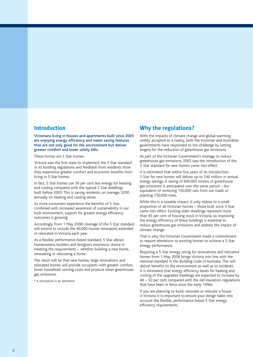### **Introduction**

Victorians living in houses and apartments built since 2005 are enjoying energy efficiency and water saving features that are not only good for the environment but deliver greater comfort and lower utility bills.

These homes are 5 Star homes.

Victoria was the first state to implement the 5 Star standard in its building regulations and feedback from residents show they experience greater comfort and economic benefits from living in 5 Star homes.

In fact, 5 Star homes use 50 per cent less energy for heating and cooling compared with the typical 2 Star dwellings built before 2005. This is saving residents, on average, \$200 annually on heating and cooling alone.

As more consumers experience the benefits of 5 Star, combined with increased awareness of sustainability in our built environment, support for greater energy efficiency outcomes is growing.

Accordingly, from 1 May 2008 coverage of the 5 Star standard will extend to include the 40,000 houses renovated, extended or relocated in Victoria each year.

As a flexible, performance-based standard, 5 Star allows homeowners, builders and designers enormous choice in meeting the requirements – whether building a new home, renovating or relocating a home.

The result will be that new homes, large renovations and relocated homes will provide occupants with greater comfort, lower household running costs and produce lower greenhouse gas emissions.

\* A renovation is an alteration

## **Why the regulations?**

With the impacts of climate change and global warming widely accepted as a reality, both the Victorian and Australian governments have responded to the challenge by setting targets for the reduction of greenhouse gas emissions.

As part of the Victorian Government's strategy to reduce greenhouse gas emissions, 2005 saw the introduction of the 5 Star standard for new homes come into effect.

It is estimated that within five years of its introduction, 5 Star for new homes will deliver up to \$40 million in annual energy savings. A saving of 600,000 tonnes of greenhouse gas emissions is anticipated over the same period – the equivalent of removing 150,000 cars from our roads or planting 750,000 trees.

While this is a sizeable impact, it only relates to a small proportion of all Victorian homes – those built since 5 Star came into effect. Existing older dwellings represent more than 95 per cent of housing stock in Victoria, so improving the energy efficiency of these buildings is essential to reduce greenhouse gas emissions and address the impact of climate change.

That is why the Victorian Government made a commitment to require alterations to existing homes to achieve a 5 Star energy performance.

Requiring a 5 Star energy rating for renovations and relocated homes from 1 May 2008 brings Victoria into line with the national standard in the Building Code of Australia. This will deliver benefits to the environment as well as to residents. It is estimated that energy efficiency levels for heating and cooling of the upgraded dwellings are expected to increase by 40 – 50 per cent compared with the old insulation regulations that have been in force since the early 1990s.

If you are planning to build, renovate or relocate a house in Victoria it is important to ensure your design takes into account the flexible, performance-based 5 Star energy efficiency requirements.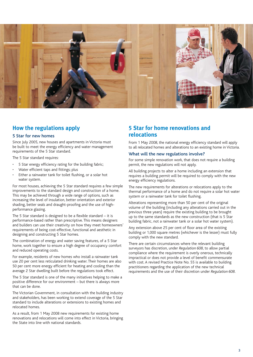

# **How the regulations apply**

#### 5 Star for new homes

Since July 2005, new houses and apartments in Victoria must be built to meet the energy efficiency and water management requirements of the 5 Star standard.

The 5 Star standard requires:

- 5 Star energy efficiency rating for the building fabric;
- Water efficient taps and fittings; plus
- Either a rainwater tank for toilet flushing, or a solar hot water system.

For most houses, achieving the 5 Star standard requires a few simple improvements to the standard design and construction of a home. This may be achieved through a wide range of options, such as increasing the level of insulation, better orientation and exterior shading, better seals and draught-proofing and the use of highperformance glazing.

The 5 Star standard is designed to be a flexible standard – it is performance-based rather than prescriptive. This means designers and builders can use their creativity on how they meet homeowners' requirements of being cost-effective, functional and aesthetic in designing and constructing 5 Star homes.

The combination of energy and water saving features, of a 5 Star home, work together to ensure a high degree of occupancy comfort and reduced operating costs.

For example, residents of new homes who install a rainwater tank use 20 per cent less reticulated drinking water. Their homes are also 50 per cent more energy efficient for heating and cooling than the average 2 Star dwelling built before the regulations took effect.

The 5 Star standard is one of the many initiatives helping to make a positive difference for our environment – but there is always more that can be done.

The Victorian Government, in consultation with the building industry and stakeholders, has been working to extend coverage of the 5 Star standard to include alterations or extensions to existing homes and relocated homes.

As a result, from 1 May 2008 new requirements for existing home renovations and relocations will come into effect in Victoria, bringing the State into line with national standards.

# **5 Star for home renovations and relocations**

From 1 May 2008, the national energy efficiency standard will apply to all relocated homes and alterations to an existing home in Victoria.

#### What will the new regulations involve?

For some simple renovation work, that does not require a building permit, the new regulations will not apply.

All building projects to alter a home including an extension that requires a building permit will be required to comply with the new energy efficiency regulations.

The new requirements for alterations or relocations apply to the thermal performance of a home and do not require a solar hot water system or a rainwater tank for toilet flushing.

Alterations representing more than 50 per cent of the original volume of the building (including any alterations carried out in the previous three years) require the existing building to be brought up to the same standards as the new construction (that is 5 Star building fabric, not a rainwater tank or a solar hot water system).

Any extension above 25 per cent of floor area of the existing building or 1,000 square metres (whichever is the lesser) must fully comply with the new standard.

There are certain circumstances where the relevant building surveyors has discretion, under *Regulation 608*, to allow partial compliance where the requirement is overly onerous, technically impractical or does not provide a level of benefit commensurate with cost. A revised Practice Note No. 55 is available to building practitioners regarding the application of the new technical requirements and the use of their discretion under *Regulation 608*.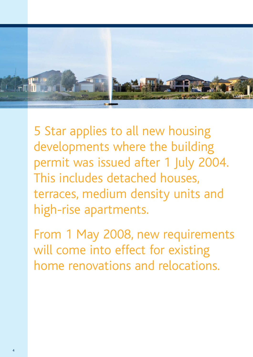

5 Star applies to all new housing developments where the building permit was issued after 1 July 2004. This includes detached houses, terraces, medium density units and high-rise apartments.

From 1 May 2008, new requirements will come into effect for existing home renovations and relocations.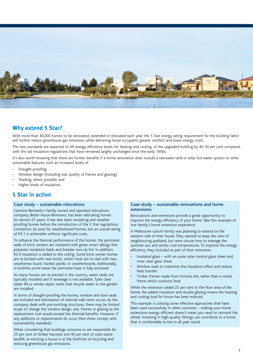

## **Why extend 5 Star?**

With more than 40,000 homes to be renovated, extended or relocated each year, the 5 Star energy rating requirement for the building fabric will further reduce greenhouse gas emissions while delivering home occupants greater comfort and lower energy costs.

The new standards are expected to lift energy efficiency levels, for heating and cooling, of the upgraded building by 40-50 per cent compared with the old insulation regulations that have remained largely unchanged since the early 1990s.

It's also worth knowing that there are further benefits if a home renovation does include a rainwater tank or solar hot water system or other sustainable features, such as increased levels of:

- Draught-proofing;
- Window design (including size, quality of frames and glazing);
- Shading, where possible; and
- Higher levels of insulation.

## **5 Star in action**

#### Case study – sustainable relocations

Carmine Bernardo's family owned and operated relocations company, *Better House Removers*, has been relocating homes for almost 25 years. It has also been insulating and weather proofing homes before the introduction of the 5 Star regulations. Limitations do exist for weatherboard homes, but an overall rating of R3.1 is achievable without significant costs.

To enhance the thermal performance of the homes, the perimeter walls of brick veneers are insulated with green smart allergy-free polyester insulation batts and breeder non-rip foil. In addition, R2.4 insulation is added to the ceiling. Some brick veneer homes are re-bricked with new bricks, whilst most are re-clad with new weathertex board, hardies planks or weatherboards. Additionally, in bushfire prone areas the perimeter base is fully enclosed.

As many houses are re-erected in the country, water tanks are typically installed and if sewerage is not available, Tylex clear water 90 or similar septic tanks that recycle water to the garden are installed.

In terms of draught-proofing the homes, window and door seals are included and elimination of internal wall vents occurs. As the company deals with pre-exisiting structures, there may be limited scope to change the window design, size, frames or glazing as the replacement cost would exceed the thermal benefits. However, if any additions or replacements do occur then these comply with sustainability standards.

When considering that buildings consume or are responsible for 25 per cent of timber harvests and 40 per cent of solid waste landfill, re-erecting a house is at the forefront of recycling and reducing greenhouse gas emissions.

#### Case study – sustainable renovations and home extensions

Renovations and extensions provide a great opportunity to improve the energy efficiency of your home. Take this example of one family's home extension experience.

A Melbourne suburb family was planning to extend on the western side of their house. They wanted to keep the view of neighbouring parkland, but were unsure how to manage the summer sun and winter cold temperatures. To improve the energy efficiency they included as part of their extension:

- Insulated glass with an outer solar control glass sheet and inner clear glass sheet.
- Window seals to maximise the insulation effect and reduce heat transfer.
- Timber frames made from Victoria Ash, rather than a metal frame which conducts heat.

While the extension added 25 per cent to the floor area of the home, the added insulation and double glazing means the heating and cooling load for house has been reduced.

This example is utilising some effective approaches that have been used successfully in other countries – making your home extensions energy efficient doesn't mean you need to reinvent the wheel. Investing in high-quality fittings can contribute to a home that is comfortable to live in all year round.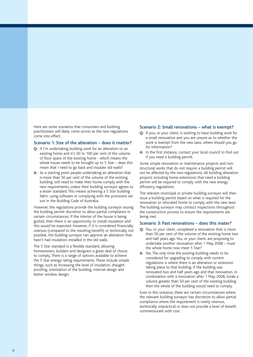Here are some scenarios that consumers and building practitioners will likely come across as the new regulations come into effect.

#### Scenario 1: Size of the alteration – does it matter?

- **Q:** If I'm undertaking building work for an alteration to an existing home and it's 50 to 100 per cent of the volume of floor space of the existing home - which means the whole house needs to be brought up to 5 Star – does this mean that I need to go back and insulate old walls?
- **A:** As a starting point people undertaking an alteration that is more than 50 per cent of the volume of the existing building, will need to make their home comply with the new requirements, unless their building surveyor agrees to a lesser standard. This means achieving a 5 Star building fabric using software or complying with the provisions set out in the Building Code of Australia.

However, the regulations provide the building surveyor issuing the building permit discretion to allow partial compliance in certain circumstances. If the interior of the house is being gutted, then there is an opportunity to install insulation and this would be expected. However, if it is considered financially onerous (compared to the resulting benefit) or technically not possible, the building surveyor can approve an alteration that hasn't had insulation installed in the old walls.

The 5 Star standard is a flexible standard, allowing homeowners, builders and designers a great deal of choice to comply. There is a range of options available to achieve the 5 Star energy rating requirements. These include simple things, such as increasing the level of insulation, draughtproofing, orientation of the building, internal design and better window design.

#### Scenario 2: Small renovations – what is exempt?

- **Q:** If you, or your client, is wishing to have building work for a small renovation and you are unsure as to whether the work is exempt from the new laws, where should you go for information?
- **A:** In the first instance, contact your local council to find out if you need a building permit.

Some simple renovation or maintenance projects and nonstructural works that do not require a building permit will not be affected by the new regulations. All building alteration projects including home extensions that need a building permit will be required to comply with the new energy efficiency regulations.

The relevant municipal or private building surveyor will then issue a building permit based on what is required for the renovation or relocated home to comply with the new laws. The building surveyor may conduct inspections throughout the construction process to ensure the requirements are being met.

#### Scenario 3: Past renovations – does this mater?

- **Q:** You, or your client, completed a renovation that is more than 50 per cent of the volume of the existing home two and half years ago. You, or your client, are proposing to undertake another renovation after 1 May 2008 – must the whole home now meet 5 Star?
- **A:** Yes. The only time the existing building needs to be considered for upgrading to comply with current regulations is where there is an alteration or extension taking place to that building. If the building was renovated two and half years ago and that renovation, in combination with a renovation after 1 May 2008, totals a volume greater than 50 per cent of the existing building then the whole of the building would need to comply.

Even in this instance, there are certain circumstances where the relevant building surveyor has discretion to allow partial compliance where the requirement is overly onerous, technically impractical or does not provide a level of benefit commensurate with cost.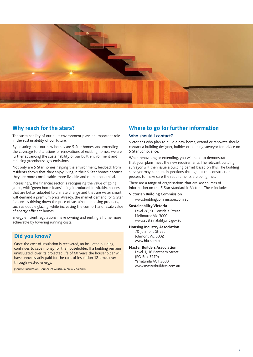

## **Why reach for the stars?**

The sustainability of our built environment plays an important role in the sustainability of our future.

By ensuring that our new homes are 5 Star homes, and extending the coverage to alterations or renovations of existing homes, we are further advancing the sustainability of our built environment and reducing greenhouse gas emissions.

Not only are 5 Star homes helping the environment, feedback from residents shows that they enjoy living in their 5 Star homes because they are more comfortable, more liveable and more economical.

Increasingly, the financial sector is recognising the value of going green, with 'green home loans' being introduced. Inevitably, houses that are better adapted to climate change and that are water smart will demand a premium price. Already, the market demand for 5 Star features is driving down the price of sustainable housing products, such as double glazing, while increasing the comfort and resale value of energy efficient homes.

Energy efficient regulations make owning and renting a home more achievable by lowering running costs.

## **Did you know?**

Once the cost of insulation is recovered, an insulated building continues to save money for the householder. If a building remains uninsulated, over its projected life of 60 years the householder will have unnecessarily paid for the cost of insulation 12 times over through wasted energy.

(source: Insulation Council of Australia New Zealand)

# **Where to go for further information**

#### Who should I contact?

Victorians who plan to build a new home, extend or renovate should contact a building designer, builder or building surveyor for advice on 5 Star compliance.

When renovating or extending, you will need to demonstrate that your plans meet the new requirements. The relevant building surveyor will then issue a building permit based on this. The building surveyor may conduct inspections throughout the construction process to make sure the requirements are being met.

There are a range of organisations that are key sources of information on the 5 Star standard in Victoria. These include:

#### **Victorian Building Commission**

www.buildingcommission.com.au

#### **Sustainability Victoria**

 Level 28, 50 Lonsdale Street Melbourne Vic 3000 www.sustainability.vic.gov.au

#### **Housing Industry Association**

70 Jolimont Street Jolimont Vic 3002 www.hia.com.au

#### **Master Builders Association**

Level 1, 16 Bentham Street (PO Box 7170) Yarralumla ACT 2600 www.masterbuilders.com.au